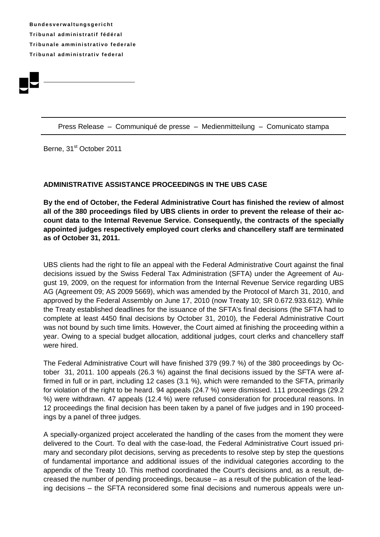**B u n d e s v e rw a l t u ng s g e r i ch t Tr i b u n a l ad m i ni s t r a t i f f éd é r a l Tribunale amministrativo federale Tr i b u n a l ad m i ni s t r a t i v fe d e r a l**



Press Release – Communiqué de presse – Medienmitteilung – Comunicato stampa

Berne, 31<sup>st</sup> October 2011

## **ADMINISTRATIVE ASSISTANCE PROCEEDINGS IN THE UBS CASE**

**By the end of October, the Federal Administrative Court has finished the review of almost all of the 380 proceedings filed by UBS clients in order to prevent the release of their account data to the Internal Revenue Service. Consequently, the contracts of the specially appointed judges respectively employed court clerks and chancellery staff are terminated as of October 31, 2011.**

UBS clients had the right to file an appeal with the Federal Administrative Court against the final decisions issued by the Swiss Federal Tax Administration (SFTA) under the Agreement of August 19, 2009, on the request for information from the Internal Revenue Service regarding UBS AG (Agreement 09; AS 2009 5669), which was amended by the Protocol of March 31, 2010, and approved by the Federal Assembly on June 17, 2010 (now Treaty 10; SR 0.672.933.612). While the Treaty established deadlines for the issuance of the SFTA's final decisions (the SFTA had to complete at least 4450 final decisions by October 31, 2010), the Federal Administrative Court was not bound by such time limits. However, the Court aimed at finishing the proceeding within a year. Owing to a special budget allocation, additional judges, court clerks and chancellery staff were hired.

The Federal Administrative Court will have finished 379 (99.7 %) of the 380 proceedings by October 31, 2011. 100 appeals (26.3 %) against the final decisions issued by the SFTA were affirmed in full or in part, including 12 cases (3.1 %), which were remanded to the SFTA, primarily for violation of the right to be heard. 94 appeals (24.7 %) were dismissed. 111 proceedings (29.2 %) were withdrawn. 47 appeals (12.4 %) were refused consideration for procedural reasons. In 12 proceedings the final decision has been taken by a panel of five judges and in 190 proceedings by a panel of three judges.

A specially-organized project accelerated the handling of the cases from the moment they were delivered to the Court. To deal with the case-load, the Federal Administrative Court issued primary and secondary pilot decisions, serving as precedents to resolve step by step the questions of fundamental importance and additional issues of the individual categories according to the appendix of the Treaty 10. This method coordinated the Court's decisions and, as a result, decreased the number of pending proceedings, because – as a result of the publication of the leading decisions – the SFTA reconsidered some final decisions and numerous appeals were un